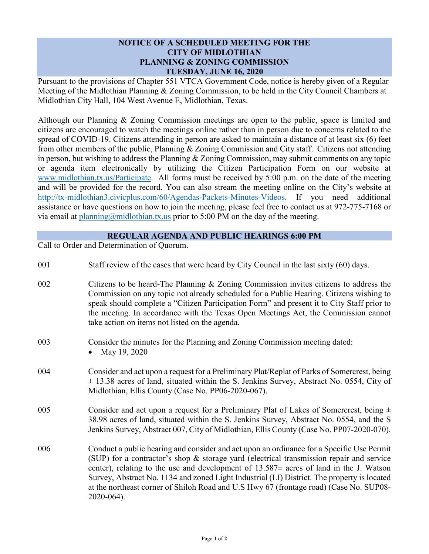## **NOTICE OF A SCHEDULED MEETING FOR THE CITY OF MIDLOTHIAN PLANNING & ZONING COMMISSION TUESDAY, JUNE 16, 2020**

Pursuant to the provisions of Chapter 551 VTCA Government Code, notice is hereby given of a Regular Meeting of the Midlothian Planning & Zoning Commission, to be held in the City Council Chambers at Midlothian City Hall, 104 West Avenue E, Midlothian, Texas.

Although our Planning & Zoning Commission meetings are open to the public, space is limited and citizens are encouraged to watch the meetings online rather than in person due to concerns related to the spread of COVID-19. Citizens attending in person are asked to maintain a distance of at least six (6) feet from other members of the public, Planning & Zoning Commission and City staff. Citizens not attending in person, but wishing to address the Planning & Zoning Commission, may submit comments on any topic or agenda item electronically by utilizing the Citizen Participation Form on our website at [www.midlothian.tx.us/Participate.](http://www.midlothian.tx.us/Participate) All forms must be received by 5:00 p.m. on the date of the meeting and will be provided for the record. You can also stream the meeting online on the City's website at [http://tx-midlothian3.civicplus.com/60/Agendas-Packets-Minutes-Videos.](http://tx-midlothian3.civicplus.com/60/Agendas-Packets-Minutes-Videos) If you need additional assistance or have questions on how to join the meeting, please feel free to contact us at 972-775-7168 or via email at  $planning@midlothian.txt.us$  prior to 5:00 PM on the day of the meeting.

## **REGULAR AGENDA AND PUBLIC HEARINGS 6:00 PM**

Call to Order and Determination of Quorum.

| 001 | Staff review of the cases that were heard by City Council in the last sixty (60) days.                                                                                                                                                                                                                                                                                                                                                                                                     |
|-----|--------------------------------------------------------------------------------------------------------------------------------------------------------------------------------------------------------------------------------------------------------------------------------------------------------------------------------------------------------------------------------------------------------------------------------------------------------------------------------------------|
| 002 | Citizens to be heard-The Planning & Zoning Commission invites citizens to address the<br>Commission on any topic not already scheduled for a Public Hearing. Citizens wishing to<br>speak should complete a "Citizen Participation Form" and present it to City Staff prior to<br>the meeting. In accordance with the Texas Open Meetings Act, the Commission cannot<br>take action on items not listed on the agenda.                                                                     |
| 003 | Consider the minutes for the Planning and Zoning Commission meeting dated:<br>May 19, 2020                                                                                                                                                                                                                                                                                                                                                                                                 |
| 004 | Consider and act upon a request for a Preliminary Plat/Replat of Parks of Somercrest, being<br>$\pm$ 13.38 acres of land, situated within the S. Jenkins Survey, Abstract No. 0554, City of<br>Midlothian, Ellis County (Case No. PP06-2020-067).                                                                                                                                                                                                                                          |
| 005 | Consider and act upon a request for a Preliminary Plat of Lakes of Somercrest, being $\pm$<br>38.98 acres of land, situated within the S. Jenkins Survey, Abstract No. 0554, and the S<br>Jenkins Survey, Abstract 007, City of Midlothian, Ellis County (Case No. PP07-2020-070).                                                                                                                                                                                                         |
| 006 | Conduct a public hearing and consider and act upon an ordinance for a Specific Use Permit<br>(SUP) for a contractor's shop & storage yard (electrical transmission repair and service<br>center), relating to the use and development of $13.587\pm$ acres of land in the J. Watson<br>Survey, Abstract No. 1134 and zoned Light Industrial (LI) District. The property is located<br>at the northeast corner of Shiloh Road and U.S Hwy 67 (frontage road) (Case No. SUP08-<br>2020-064). |